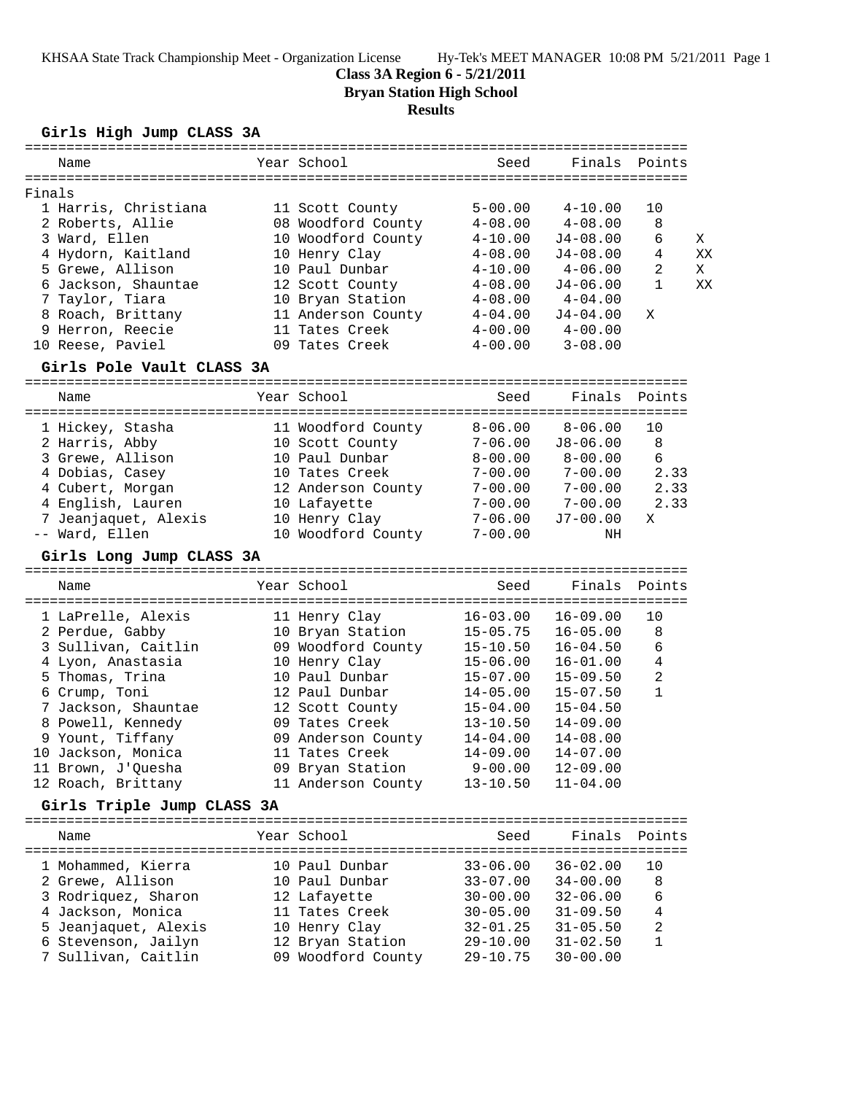### **Class 3A Region 6 - 5/21/2011**

**Bryan Station High School**

#### **Results**

**Girls High Jump CLASS 3A**

| Name |                                                                                                                                                                                                                      | Seed                                                                                                                                                                                                           | Finals       |                |        |
|------|----------------------------------------------------------------------------------------------------------------------------------------------------------------------------------------------------------------------|----------------------------------------------------------------------------------------------------------------------------------------------------------------------------------------------------------------|--------------|----------------|--------|
|      |                                                                                                                                                                                                                      |                                                                                                                                                                                                                |              |                |        |
|      |                                                                                                                                                                                                                      | $5 - 00.00$                                                                                                                                                                                                    | $4 - 10.00$  | 10             |        |
|      |                                                                                                                                                                                                                      | $4 - 08.00$                                                                                                                                                                                                    | $4 - 08.00$  | 8              |        |
|      |                                                                                                                                                                                                                      | $4 - 10.00$                                                                                                                                                                                                    | $J4 - 08.00$ | 6              | X      |
|      |                                                                                                                                                                                                                      | $4 - 08.00$                                                                                                                                                                                                    | $J4 - 08.00$ | 4              | XX     |
|      |                                                                                                                                                                                                                      | $4 - 10.00$                                                                                                                                                                                                    | $4 - 06.00$  | $\mathfrak{D}$ | X      |
|      |                                                                                                                                                                                                                      | $4 - 08.00$                                                                                                                                                                                                    | $J4 - 06.00$ |                | XX     |
|      |                                                                                                                                                                                                                      | $4 - 08.00$                                                                                                                                                                                                    | $4 - 04.00$  |                |        |
|      |                                                                                                                                                                                                                      | $4 - 04.00$                                                                                                                                                                                                    | $J4 - 04.00$ | X              |        |
|      |                                                                                                                                                                                                                      | $4 - 00.00$                                                                                                                                                                                                    | $4 - 00.00$  |                |        |
|      |                                                                                                                                                                                                                      | $4 - 00.00$                                                                                                                                                                                                    | $3 - 08.00$  |                |        |
|      | Finals<br>1 Harris, Christiana<br>2 Roberts, Allie<br>3 Ward, Ellen<br>4 Hydorn, Kaitland<br>5 Grewe, Allison<br>6 Jackson, Shauntae<br>7 Taylor, Tiara<br>8 Roach, Brittany<br>9 Herron, Reecie<br>10 Reese, Paviel | Year School<br>11 Scott County<br>08 Woodford County<br>10 Woodford County<br>10 Henry Clay<br>10 Paul Dunbar<br>12 Scott County<br>10 Bryan Station<br>11 Anderson County<br>11 Tates Creek<br>09 Tates Creek |              |                | Points |

#### **Girls Pole Vault CLASS 3A**

================================================================================ Name Year School Seed Finals Points ================================================================================ 1 Hickey, Stasha 11 Woodford County 8-06.00 8-06.00 10 2 Harris, Abby 10 Scott County 7-06.00 J8-06.00 8 3 Grewe, Allison 10 Paul Dunbar 8-00.00 8-00.00 6 4 Dobias, Casey 10 Tates Creek 7-00.00 7-00.00 2.33 4 Cubert, Morgan 12 Anderson County 7-00.00 7-00.00 2.33 4 English, Lauren 10 Lafayette 7-00.00 7-00.00 2.33 7 Jeanjaquet, Alexis 10 Henry Clay 7-06.00 J7-00.00 X -- Ward, Ellen 10 Woodford County 7-00.00 NH

### **Girls Long Jump CLASS 3A**

================================================================================ Name Year School Seed Finals Points ================================================================================ 1 LaPrelle, Alexis 11 Henry Clay 16-03.00 16-09.00 10 2 Perdue, Gabby 10 Bryan Station 15-05.75 16-05.00 8 3 Sullivan, Caitlin 09 Woodford County 15-10.50 16-04.50 6 4 Lyon, Anastasia 10 Henry Clay 15-06.00 16-01.00 4 5 Thomas, Trina 10 Paul Dunbar 15-07.00 15-09.50 2 6 Crump, Toni 12 Paul Dunbar 14-05.00 15-07.50 1 7 Jackson, Shauntae 12 Scott County 15-04.00 15-04.50 8 Powell, Kennedy 09 Tates Creek 13-10.50 14-09.00 9 Yount, Tiffany 09 Anderson County 14-04.00 14-08.00 10 Jackson, Monica 11 Tates Creek 14-09.00 14-07.00 11 Brown, J'Quesha 09 Bryan Station 9-00.00 12-09.00 12 Roach, Brittany 11 Anderson County 13-10.50 11-04.00

### **Girls Triple Jump CLASS 3A**

| Name                 | Year School        | Seed         | Finals Points |              |
|----------------------|--------------------|--------------|---------------|--------------|
| 1 Mohammed, Kierra   | 10 Paul Dunbar     | $33 - 06.00$ | $36 - 02.00$  | 10           |
| 2 Grewe, Allison     | 10 Paul Dunbar     | $33 - 07.00$ | $34 - 00.00$  | 8            |
| 3 Rodriquez, Sharon  | 12 Lafayette       | $30 - 00.00$ | $32 - 06.00$  | 6            |
| 4 Jackson, Monica    | 11 Tates Creek     | $30 - 05.00$ | $31 - 09.50$  | 4            |
| 5 Jeanjaquet, Alexis | 10 Henry Clay      | $32 - 01.25$ | $31 - 05.50$  | 2            |
| 6 Stevenson, Jailyn  | 12 Bryan Station   | $29 - 10.00$ | $31 - 02.50$  | $\mathbf{1}$ |
| 7 Sullivan, Caitlin  | 09 Woodford County | $29 - 10.75$ | $30 - 00.00$  |              |
|                      |                    |              |               |              |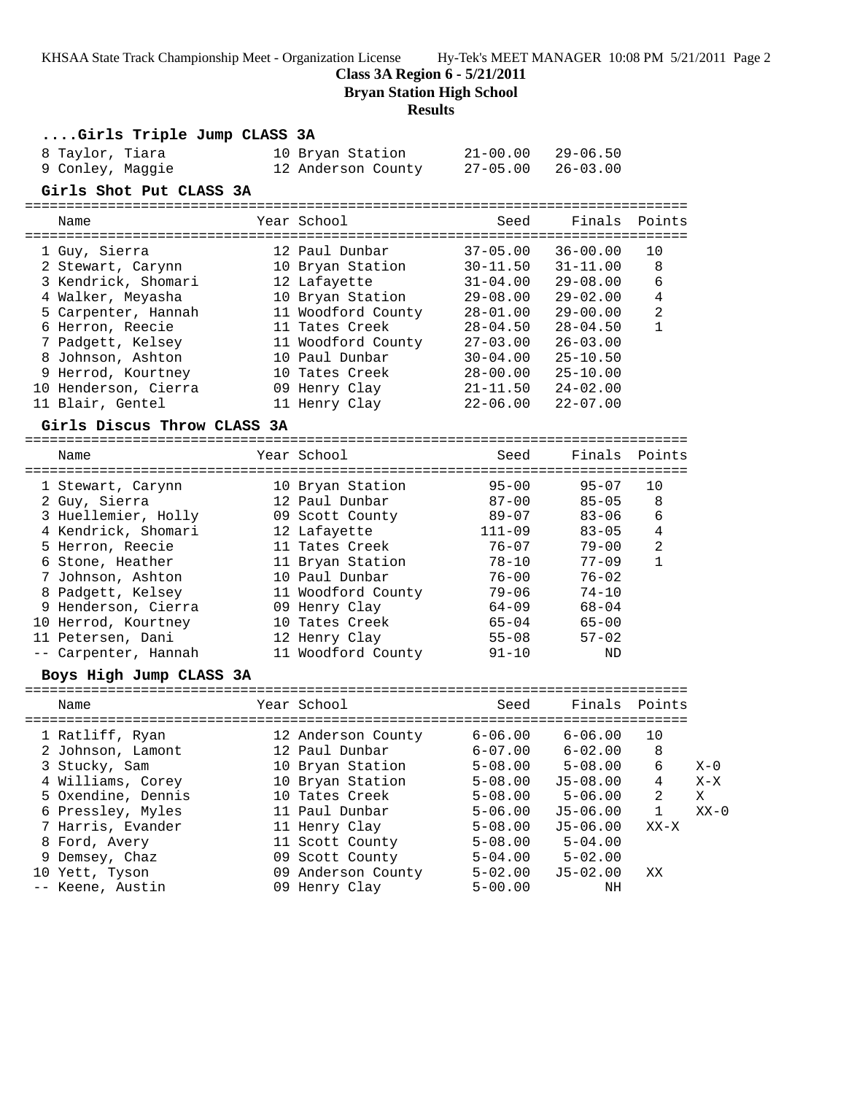**Class 3A Region 6 - 5/21/2011**

**Bryan Station High School**

### **Results**

| Girls Triple Jump CLASS 3A  |                            |              |              |                |         |
|-----------------------------|----------------------------|--------------|--------------|----------------|---------|
| 8 Taylor, Tiara             | 10 Bryan Station           | 21-00.00     | $29 - 06.50$ |                |         |
| 9 Conley, Maggie            | 12 Anderson County         | $27 - 05.00$ | $26 - 03.00$ |                |         |
| Girls Shot Put CLASS 3A     |                            |              |              |                |         |
| Name                        | Year School                | Seed         | Finals       | Points         |         |
| 1 Guy, Sierra               | 12 Paul Dunbar             | $37 - 05.00$ | $36 - 00.00$ | 10             |         |
| 2 Stewart, Carynn           | 10 Bryan Station           | $30 - 11.50$ | $31 - 11.00$ | 8              |         |
| 3 Kendrick, Shomari         | 12 Lafayette               | $31 - 04.00$ | $29 - 08.00$ | 6              |         |
| 4 Walker, Meyasha           | 10 Bryan Station           | 29-08.00     | $29 - 02.00$ | 4              |         |
| 5 Carpenter, Hannah         | 11 Woodford County         | 28-01.00     | $29 - 00.00$ | 2              |         |
| 6 Herron, Reecie            | 11 Tates Creek             | $28 - 04.50$ | $28 - 04.50$ | $\mathbf{1}$   |         |
| 7 Padgett, Kelsey           | 11 Woodford County         | $27 - 03.00$ | $26 - 03.00$ |                |         |
| 8 Johnson, Ashton           | 10 Paul Dunbar             | 30-04.00     | $25 - 10.50$ |                |         |
| 9 Herrod, Kourtney          | 10 Tates Creek             | 28-00.00     | $25 - 10.00$ |                |         |
| 10 Henderson, Cierra        | 09 Henry Clay              | $21 - 11.50$ | $24 - 02.00$ |                |         |
| 11 Blair, Gentel            | 11 Henry Clay              | $22 - 06.00$ | $22 - 07.00$ |                |         |
|                             |                            |              |              |                |         |
| Girls Discus Throw CLASS 3A |                            |              |              |                |         |
| Name                        | Year School                | Seed         | Finals       | Points         |         |
| 1 Stewart, Carynn           | 10 Bryan Station           | $95 - 00$    | $95 - 07$    | 10             |         |
| 2 Guy, Sierra               | 12 Paul Dunbar             | $87 - 00$    | $85 - 05$    | 8              |         |
| 3 Huellemier, Holly         | 09 Scott County            | $89 - 07$    | $83 - 06$    | 6              |         |
| 4 Kendrick, Shomari         | 12 Lafayette               | 111-09       | $83 - 05$    | 4              |         |
| 5 Herron, Reecie            | 11 Tates Creek             | $76 - 07$    | $79 - 00$    | 2              |         |
| 6 Stone, Heather            | 11 Bryan Station           | 78-10        | $77 - 09$    | $\mathbf{1}$   |         |
| 7 Johnson, Ashton           | 10 Paul Dunbar             | 76-00        | $76 - 02$    |                |         |
| 8 Padgett, Kelsey           | 11 Woodford County         | 79-06        | $74 - 10$    |                |         |
| 9 Henderson, Cierra         | 09 Henry Clay              | 64-09        | 68-04        |                |         |
| 10 Herrod, Kourtney         | 10 Tates Creek             | 65-04        | $65 - 00$    |                |         |
| 11 Petersen, Dani           | 12 Henry Clay              | $55 - 08$    | $57 - 02$    |                |         |
| -- Carpenter, Hannah        | 11 Woodford County         | 91-10        | ND           |                |         |
| Boys High Jump CLASS 3A     |                            |              |              |                |         |
| Name                        | Year School                | Seed         | Finals       | Points         |         |
|                             |                            |              |              |                |         |
| 1 Ratliff, Ryan             | 12 Anderson County 6-06.00 |              | $6 - 06.00$  | 10             |         |
| 2 Johnson, Lamont           | 12 Paul Dunbar             | $6 - 07.00$  | $6 - 02.00$  | 8 <sup>8</sup> |         |
| 3 Stucky, Sam               | 10 Bryan Station           | $5 - 08.00$  | $5 - 08.00$  | 6              | $X - 0$ |
| 4 Williams, Corey           | 10 Bryan Station           | $5 - 08.00$  | $J5 - 08.00$ | 4              | $X - X$ |
| 5 Oxendine, Dennis          | 10 Tates Creek             | $5 - 08.00$  | $5 - 06.00$  | 2              | Χ       |
| 6 Pressley, Myles           | 11 Paul Dunbar             | $5 - 06.00$  | $J5 - 06.00$ | 1              | $XX-0$  |
| 7 Harris, Evander           | 11 Henry Clay              | $5 - 08.00$  | $J5 - 06.00$ | $XX-X$         |         |
| 8 Ford, Avery               | 11 Scott County            | $5 - 08.00$  | $5 - 04.00$  |                |         |
| 9 Demsey, Chaz              | 09 Scott County            | $5 - 04.00$  | $5 - 02.00$  |                |         |
| 10 Yett, Tyson              | 09 Anderson County         | $5 - 02.00$  | $J5 - 02.00$ | ΧX             |         |
| -- Keene, Austin            | 09 Henry Clay              | $5 - 00.00$  | ΝH           |                |         |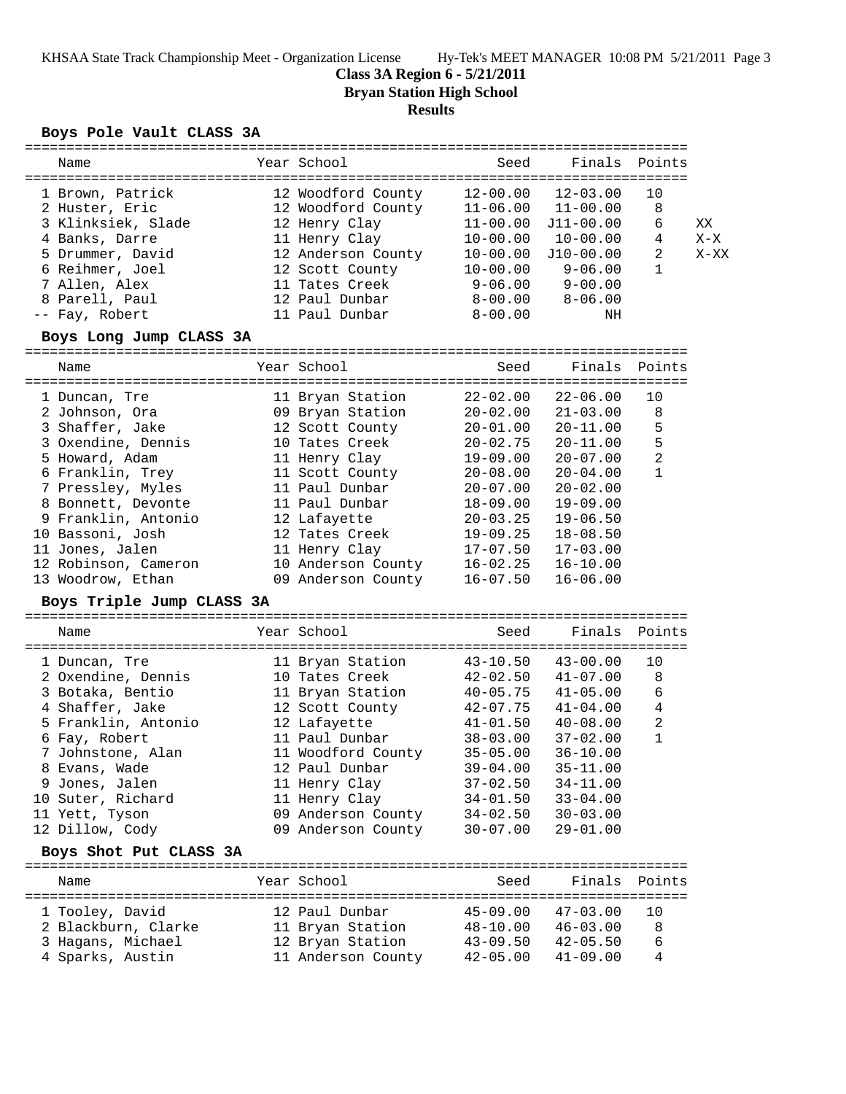**Class 3A Region 6 - 5/21/2011**

**Bryan Station High School**

# **Results**

## **Boys Pole Vault CLASS 3A**

| Name                                           | Year School                  | Seed         |              | Finals Points  |        |
|------------------------------------------------|------------------------------|--------------|--------------|----------------|--------|
|                                                |                              |              |              |                |        |
| 1 Brown, Patrick                               | 12 Woodford County           | $12 - 00.00$ | $12 - 03.00$ | 10             |        |
| 2 Huster, Eric                                 | 12 Woodford County           | $11 - 06.00$ | $11 - 00.00$ | 8              |        |
| 3 Klinksiek, Slade                             | 12 Henry Clay                | $11 - 00.00$ | $J11-00.00$  | 6              | XX     |
| 4 Banks, Darre                                 | 11 Henry Clay                | $10 - 00.00$ | $10 - 00.00$ | 4              | $X-X$  |
|                                                |                              |              |              | 2              |        |
| 5 Drummer, David                               | 12 Anderson County           | $10 - 00.00$ | $J10-00.00$  |                | $X-XX$ |
| 6 Reihmer, Joel                                | 12 Scott County              | 10-00.00     | $9 - 06.00$  | $\mathbf{1}$   |        |
| 7 Allen, Alex                                  | 11 Tates Creek               | $9 - 06.00$  | $9 - 00.00$  |                |        |
| 8 Parell, Paul                                 | 12 Paul Dunbar               | $8 - 00.00$  | $8 - 06.00$  |                |        |
| -- Fay, Robert                                 | 11 Paul Dunbar               | $8 - 00.00$  | ΝH           |                |        |
| Boys Long Jump CLASS 3A                        |                              |              |              |                |        |
|                                                |                              |              |              |                |        |
| Name                                           | Year School                  | Seed         | Finals       | Points         |        |
|                                                |                              |              |              |                |        |
| 1 Duncan, Tre                                  | 11 Bryan Station             | $22 - 02.00$ | $22 - 06.00$ | 10             |        |
| 2 Johnson, Ora                                 | 09 Bryan Station             | $20 - 02.00$ | $21 - 03.00$ | 8              |        |
|                                                |                              |              | $20 - 11.00$ | 5              |        |
| 3 Shaffer, Jake                                | 12 Scott County              | $20 - 01.00$ |              |                |        |
| 3 Oxendine, Dennis                             | 10 Tates Creek               | $20 - 02.75$ | $20 - 11.00$ | 5              |        |
| 5 Howard, Adam                                 | 11 Henry Clay                | $19 - 09.00$ | $20 - 07.00$ | 2              |        |
| 6 Franklin, Trey                               | 11 Scott County              | $20 - 08.00$ | $20 - 04.00$ | $\mathbf{1}$   |        |
| 7 Pressley, Myles                              | 11 Paul Dunbar               | $20 - 07.00$ | $20 - 02.00$ |                |        |
| 8 Bonnett, Devonte                             | 11 Paul Dunbar               | $18 - 09.00$ | $19 - 09.00$ |                |        |
| 9 Franklin, Antonio                            | 12 Lafayette                 | $20 - 03.25$ | $19 - 06.50$ |                |        |
| 10 Bassoni, Josh                               | 12 Tates Creek               | $19 - 09.25$ | $18 - 08.50$ |                |        |
| 11 Jones, Jalen                                | 11 Henry Clay                | $17 - 07.50$ | $17 - 03.00$ |                |        |
| 12 Robinson, Cameron                           | 10 Anderson County           | $16 - 02.25$ | $16 - 10.00$ |                |        |
| 13 Woodrow, Ethan                              | 09 Anderson County           | $16 - 07.50$ | $16 - 06.00$ |                |        |
|                                                |                              |              |              |                |        |
| Boys Triple Jump CLASS 3A                      |                              |              |              |                |        |
| Name                                           | Year School                  | Seed         | Finals       | Points         |        |
|                                                |                              |              |              |                |        |
| 1 Duncan, Tre                                  | 11 Bryan Station             | $43 - 10.50$ | $43 - 00.00$ | 10             |        |
| 2 Oxendine, Dennis                             | 10 Tates Creek               | $42 - 02.50$ | $41 - 07.00$ | 8              |        |
| 3 Botaka, Bentio                               | 11 Bryan Station             | $40 - 05.75$ | $41 - 05.00$ | 6              |        |
|                                                |                              |              |              |                |        |
| 4 Shaffer, Jake                                | 12 Scott County              | 42-07.75     | $41-04.00$   | 4              |        |
| 5 Franklin, Antonio                            | 12 Lafayette                 | 41-01.50     | $40 - 08.00$ | $\overline{a}$ |        |
| 6 Fay, Robert                                  | 11 Paul Dunbar               | $38 - 03.00$ | $37 - 02.00$ | $\mathbf{1}$   |        |
| 7 Johnstone, Alan                              | 11 Woodford County           | $35 - 05.00$ | $36 - 10.00$ |                |        |
| 8 Evans, Wade                                  | 12 Paul Dunbar               | $39 - 04.00$ | $35 - 11.00$ |                |        |
| 9 Jones, Jalen                                 | 11 Henry Clay                | $37 - 02.50$ | $34 - 11.00$ |                |        |
| 10 Suter, Richard                              | 11 Henry Clay                | $34 - 01.50$ | $33 - 04.00$ |                |        |
| 11 Yett, Tyson                                 | 09 Anderson County           | $34 - 02.50$ | $30 - 03.00$ |                |        |
| 12 Dillow, Cody                                | 09 Anderson County           | $30 - 07.00$ | $29 - 01.00$ |                |        |
|                                                |                              |              |              |                |        |
| Boys Shot Put CLASS 3A<br>==================== | ---------------------------- |              |              |                |        |
| Name                                           | Year School                  | Seed         | Finals       | Points         |        |
|                                                | 12 Paul Dunbar               |              |              | 10             |        |
| 1 Tooley, David                                |                              | $45 - 09.00$ | $47 - 03.00$ |                |        |
| 2 Blackburn, Clarke                            | 11 Bryan Station             | $48 - 10.00$ | $46 - 03.00$ | 8              |        |
| 3 Hagans, Michael                              | 12 Bryan Station             | $43 - 09.50$ | $42 - 05.50$ | 6              |        |
| 4 Sparks, Austin                               | 11 Anderson County           | $42 - 05.00$ | $41 - 09.00$ | 4              |        |
|                                                |                              |              |              |                |        |